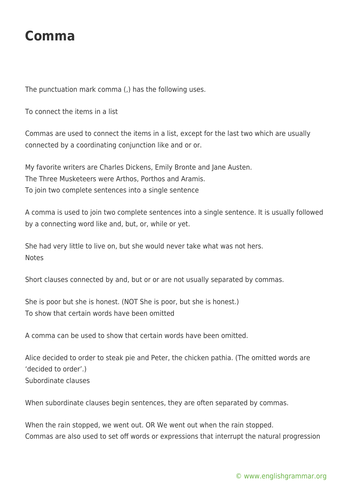## **Comma**

The punctuation mark comma (,) has the following uses.

To connect the items in a list

Commas are used to connect the items in a list, except for the last two which are usually connected by a coordinating conjunction like and or or.

My favorite writers are Charles Dickens, Emily Bronte and Jane Austen. The Three Musketeers were Arthos, Porthos and Aramis. To join two complete sentences into a single sentence

A comma is used to join two complete sentences into a single sentence. It is usually followed by a connecting word like and, but, or, while or yet.

She had very little to live on, but she would never take what was not hers. **Notes** 

Short clauses connected by and, but or or are not usually separated by commas.

She is poor but she is honest. (NOT She is poor, but she is honest.) To show that certain words have been omitted

A comma can be used to show that certain words have been omitted.

Alice decided to order to steak pie and Peter, the chicken pathia. (The omitted words are 'decided to order'.) Subordinate clauses

When subordinate clauses begin sentences, they are often separated by commas.

When the rain stopped, we went out. OR We went out when the rain stopped. Commas are also used to set off words or expressions that interrupt the natural progression